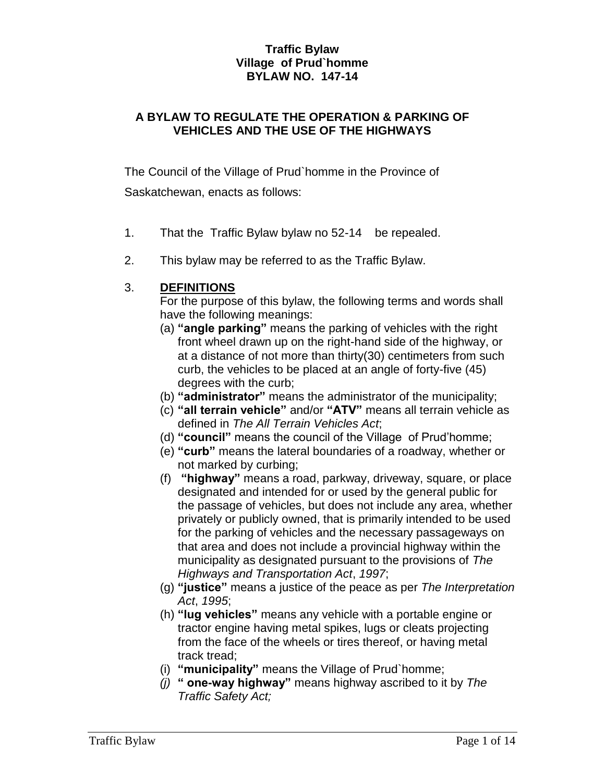#### **Traffic Bylaw Village of Prud`homme BYLAW NO. 147-14**

#### **A BYLAW TO REGULATE THE OPERATION & PARKING OF VEHICLES AND THE USE OF THE HIGHWAYS**

The Council of the Village of Prud`homme in the Province of Saskatchewan, enacts as follows:

- 1. That the Traffic Bylaw bylaw no 52-14 be repealed.
- 2. This bylaw may be referred to as the Traffic Bylaw.

#### 3. **DEFINITIONS**

For the purpose of this bylaw, the following terms and words shall have the following meanings:

- (a) **"angle parking"** means the parking of vehicles with the right front wheel drawn up on the right-hand side of the highway, or at a distance of not more than thirty(30) centimeters from such curb, the vehicles to be placed at an angle of forty-five (45) degrees with the curb;
- (b) **"administrator"** means the administrator of the municipality;
- (c) **"all terrain vehicle"** and/or **"ATV"** means all terrain vehicle as defined in *The All Terrain Vehicles Act*;
- (d) **"council"** means the council of the Village of Prud'homme;
- (e) **"curb"** means the lateral boundaries of a roadway, whether or not marked by curbing;
- (f) **"highway"** means a road, parkway, driveway, square, or place designated and intended for or used by the general public for the passage of vehicles, but does not include any area, whether privately or publicly owned, that is primarily intended to be used for the parking of vehicles and the necessary passageways on that area and does not include a provincial highway within the municipality as designated pursuant to the provisions of *The Highways and Transportation Act*, *1997*;
- (g) **"justice"** means a justice of the peace as per *The Interpretation Act*, *1995*;
- (h) **"lug vehicles"** means any vehicle with a portable engine or tractor engine having metal spikes, lugs or cleats projecting from the face of the wheels or tires thereof, or having metal track tread;
- (i) **"municipality"** means the Village of Prud`homme;
- *(j)* **" one-way highway"** means highway ascribed to it by *The Traffic Safety Act;*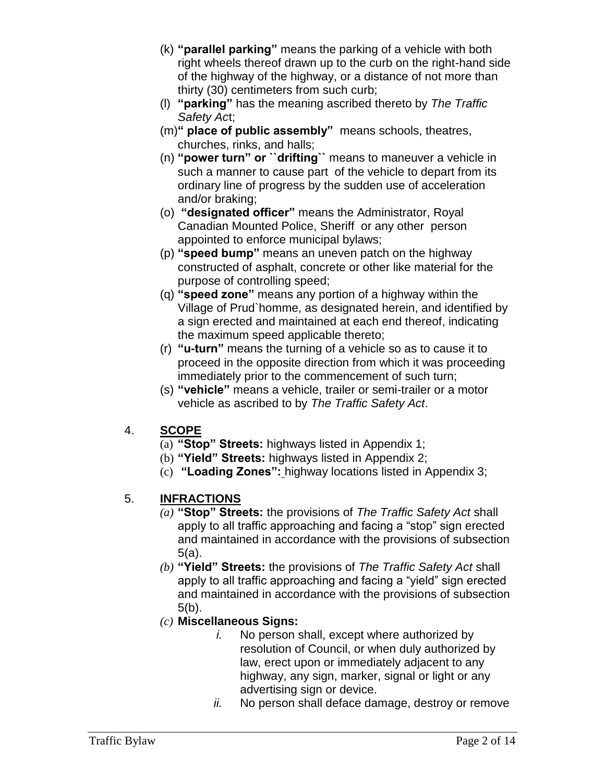- (k) **"parallel parking"** means the parking of a vehicle with both right wheels thereof drawn up to the curb on the right-hand side of the highway of the highway, or a distance of not more than thirty (30) centimeters from such curb;
- (l) **"parking"** has the meaning ascribed thereto by *The Traffic Safety Ac*t;
- (m)**" place of public assembly"** means schools, theatres, churches, rinks, and halls;
- (n) **"power turn" or ``drifting``** means to maneuver a vehicle in such a manner to cause part of the vehicle to depart from its ordinary line of progress by the sudden use of acceleration and/or braking;
- (o) **"designated officer"** means the Administrator, Royal Canadian Mounted Police, Sheriff or any other person appointed to enforce municipal bylaws;
- (p) **"speed bump"** means an uneven patch on the highway constructed of asphalt, concrete or other like material for the purpose of controlling speed;
- (q) **"speed zone"** means any portion of a highway within the Village of Prud`homme, as designated herein, and identified by a sign erected and maintained at each end thereof, indicating the maximum speed applicable thereto;
- (r) **"u-turn"** means the turning of a vehicle so as to cause it to proceed in the opposite direction from which it was proceeding immediately prior to the commencement of such turn;
- (s) **"vehicle"** means a vehicle, trailer or semi-trailer or a motor vehicle as ascribed to by *The Traffic Safety Act*.

## 4. **SCOPE**

- (a) **"Stop" Streets:** highways listed in Appendix 1;
- (b) **"Yield" Streets:** highways listed in Appendix 2;
- (c) **"Loading Zones":** highway locations listed in Appendix 3;

## 5. **INFRACTIONS**

- *(a)* **"Stop" Streets:** the provisions of *The Traffic Safety Act* shall apply to all traffic approaching and facing a "stop" sign erected and maintained in accordance with the provisions of subsection 5(a).
- *(b)* **"Yield" Streets:** the provisions of *The Traffic Safety Act* shall apply to all traffic approaching and facing a "yield" sign erected and maintained in accordance with the provisions of subsection 5(b).
- *(c)* **Miscellaneous Signs:**
	- *i.* No person shall, except where authorized by resolution of Council, or when duly authorized by law, erect upon or immediately adjacent to any highway, any sign, marker, signal or light or any advertising sign or device.
	- *ii.* No person shall deface damage, destroy or remove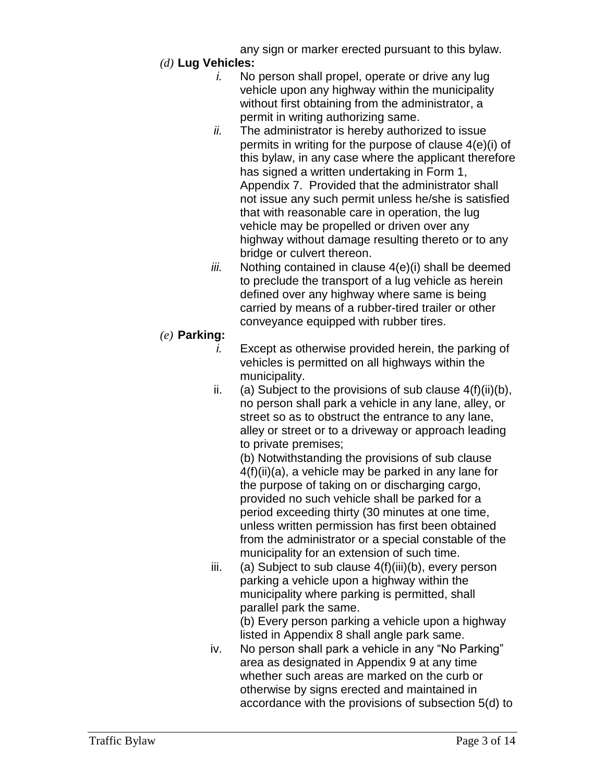any sign or marker erected pursuant to this bylaw.

### *(d)* **Lug Vehicles:**

- *i.* No person shall propel, operate or drive any lug vehicle upon any highway within the municipality without first obtaining from the administrator, a permit in writing authorizing same.
- *ii.* The administrator is hereby authorized to issue permits in writing for the purpose of clause 4(e)(i) of this bylaw, in any case where the applicant therefore has signed a written undertaking in Form 1, Appendix 7. Provided that the administrator shall not issue any such permit unless he/she is satisfied that with reasonable care in operation, the lug vehicle may be propelled or driven over any highway without damage resulting thereto or to any bridge or culvert thereon.
- *iii.* Nothing contained in clause 4(e)(i) shall be deemed to preclude the transport of a lug vehicle as herein defined over any highway where same is being carried by means of a rubber-tired trailer or other conveyance equipped with rubber tires.

#### *(e)* **Parking:**

- *i.* Except as otherwise provided herein, the parking of vehicles is permitted on all highways within the municipality.
- ii. (a) Subject to the provisions of sub clause  $4(f)(ii)(b)$ , no person shall park a vehicle in any lane, alley, or street so as to obstruct the entrance to any lane, alley or street or to a driveway or approach leading to private premises;

(b) Notwithstanding the provisions of sub clause 4(f)(ii)(a), a vehicle may be parked in any lane for the purpose of taking on or discharging cargo, provided no such vehicle shall be parked for a period exceeding thirty (30 minutes at one time, unless written permission has first been obtained from the administrator or a special constable of the municipality for an extension of such time.

iii. (a) Subject to sub clause 4(f)(iii)(b), every person parking a vehicle upon a highway within the municipality where parking is permitted, shall parallel park the same.

(b) Every person parking a vehicle upon a highway listed in Appendix 8 shall angle park same.

iv. No person shall park a vehicle in any "No Parking" area as designated in Appendix 9 at any time whether such areas are marked on the curb or otherwise by signs erected and maintained in accordance with the provisions of subsection 5(d) to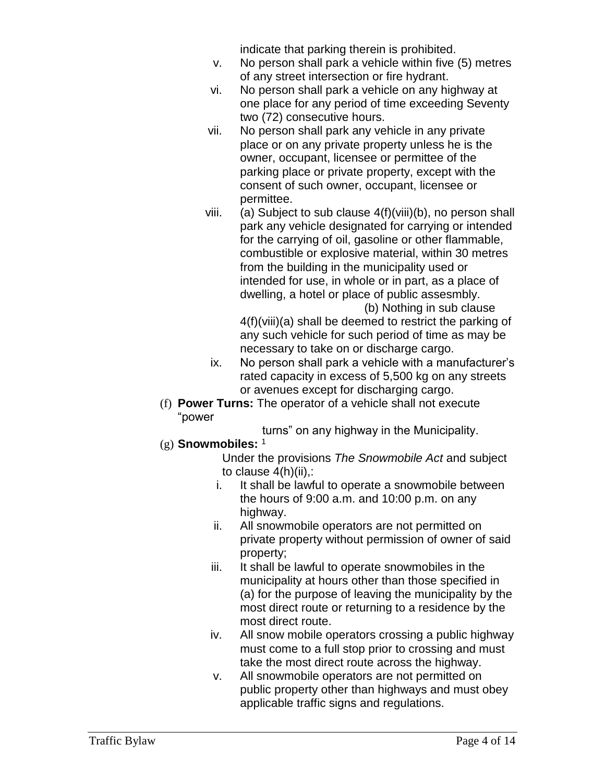indicate that parking therein is prohibited.

- v. No person shall park a vehicle within five (5) metres of any street intersection or fire hydrant.
- vi. No person shall park a vehicle on any highway at one place for any period of time exceeding Seventy two (72) consecutive hours.
- vii. No person shall park any vehicle in any private place or on any private property unless he is the owner, occupant, licensee or permittee of the parking place or private property, except with the consent of such owner, occupant, licensee or permittee.
- viii. (a) Subject to sub clause 4(f)(viii)(b), no person shall park any vehicle designated for carrying or intended for the carrying of oil, gasoline or other flammable, combustible or explosive material, within 30 metres from the building in the municipality used or intended for use, in whole or in part, as a place of dwelling, a hotel or place of public assesmbly. (b) Nothing in sub clause

4(f)(viii)(a) shall be deemed to restrict the parking of any such vehicle for such period of time as may be necessary to take on or discharge cargo.

- ix. No person shall park a vehicle with a manufacturer's rated capacity in excess of 5,500 kg on any streets or avenues except for discharging cargo.
- (f) **Power Turns:** The operator of a vehicle shall not execute "power

turns" on any highway in the Municipality.

(g) **Snowmobiles:** <sup>1</sup>

Under the provisions *The Snowmobile Act* and subject to clause 4(h)(ii),:

- i. It shall be lawful to operate a snowmobile between the hours of 9:00 a.m. and 10:00 p.m. on any highway.
- ii. All snowmobile operators are not permitted on private property without permission of owner of said property;
- iii. It shall be lawful to operate snowmobiles in the municipality at hours other than those specified in (a) for the purpose of leaving the municipality by the most direct route or returning to a residence by the most direct route.
- iv. All snow mobile operators crossing a public highway must come to a full stop prior to crossing and must take the most direct route across the highway.
- v. All snowmobile operators are not permitted on public property other than highways and must obey applicable traffic signs and regulations.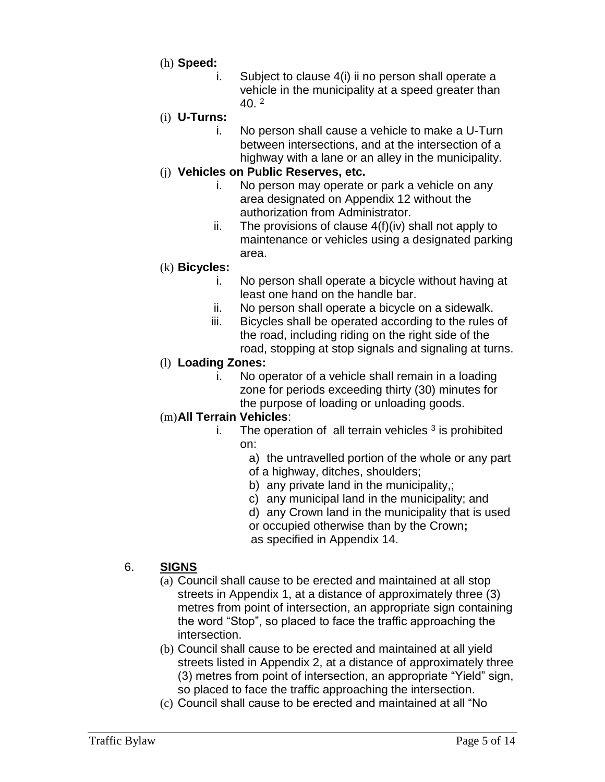#### (h) **Speed:**

i. Subject to clause 4(i) ii no person shall operate a vehicle in the municipality at a speed greater than  $40^{2}$ 

#### (i) **U-Turns:**

i. No person shall cause a vehicle to make a U-Turn between intersections, and at the intersection of a highway with a lane or an alley in the municipality.

## (j) **Vehicles on Public Reserves, etc.**

- i. No person may operate or park a vehicle on any area designated on Appendix 12 without the authorization from Administrator.
- ii. The provisions of clause  $4(f)(iv)$  shall not apply to maintenance or vehicles using a designated parking area.

#### (k) **Bicycles:**

- i. No person shall operate a bicycle without having at least one hand on the handle bar.
- ii. No person shall operate a bicycle on a sidewalk.
- iii. Bicycles shall be operated according to the rules of the road, including riding on the right side of the road, stopping at stop signals and signaling at turns.

#### (l) **Loading Zones:**

i. No operator of a vehicle shall remain in a loading zone for periods exceeding thirty (30) minutes for the purpose of loading or unloading goods.

#### (m)**All Terrain Vehicles**:

- i. The operation of all terrain vehicles  $3$  is prohibited on:
	- a) the untravelled portion of the whole or any part of a highway, ditches, shoulders;
	- b) any private land in the municipality,;
	- c) any municipal land in the municipality; and
	- d) any Crown land in the municipality that is used

or occupied otherwise than by the Crown**;** as specified in Appendix 14.

#### 6. **SIGNS**

- (a) Council shall cause to be erected and maintained at all stop streets in Appendix 1, at a distance of approximately three (3) metres from point of intersection, an appropriate sign containing the word "Stop", so placed to face the traffic approaching the intersection.
- (b) Council shall cause to be erected and maintained at all yield streets listed in Appendix 2, at a distance of approximately three (3) metres from point of intersection, an appropriate "Yield" sign, so placed to face the traffic approaching the intersection.
- (c) Council shall cause to be erected and maintained at all "No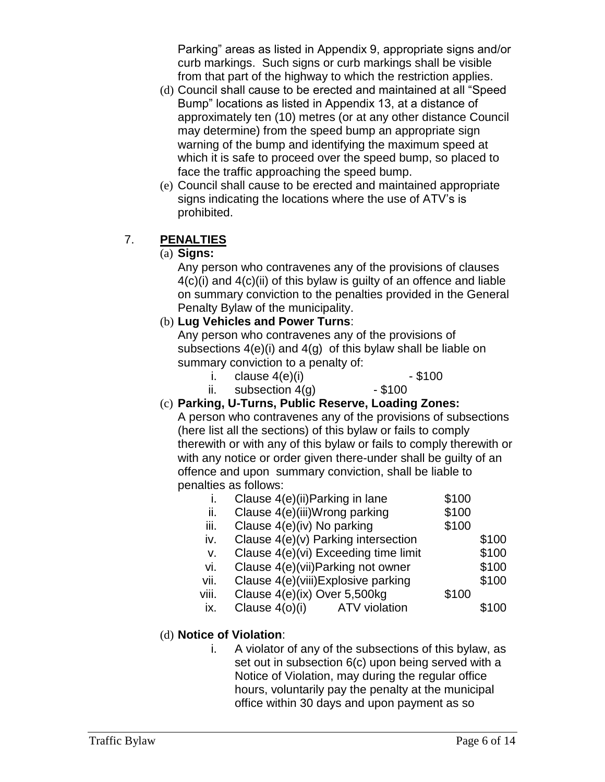Parking" areas as listed in Appendix 9, appropriate signs and/or curb markings. Such signs or curb markings shall be visible from that part of the highway to which the restriction applies.

- (d) Council shall cause to be erected and maintained at all "Speed Bump" locations as listed in Appendix 13, at a distance of approximately ten (10) metres (or at any other distance Council may determine) from the speed bump an appropriate sign warning of the bump and identifying the maximum speed at which it is safe to proceed over the speed bump, so placed to face the traffic approaching the speed bump.
- (e) Council shall cause to be erected and maintained appropriate signs indicating the locations where the use of ATV's is prohibited.

## 7. **PENALTIES**

(a) **Signs:**

Any person who contravenes any of the provisions of clauses 4(c)(i) and 4(c)(ii) of this bylaw is guilty of an offence and liable on summary conviction to the penalties provided in the General Penalty Bylaw of the municipality.

(b) **Lug Vehicles and Power Turns**:

Any person who contravenes any of the provisions of subsections 4(e)(i) and 4(g) of this bylaw shall be liable on summary conviction to a penalty of:

- i. clause  $4(e)(i)$  \$100
- ii. subsection  $4(q)$  \$100
- (c) **Parking, U-Turns, Public Reserve, Loading Zones:**

A person who contravenes any of the provisions of subsections (here list all the sections) of this bylaw or fails to comply therewith or with any of this bylaw or fails to comply therewith or with any notice or order given there-under shall be quilty of an offence and upon summary conviction, shall be liable to penalties as follows:

i. Clause  $4(e)$ (ii)Parking in lane  $$100$ ii. Clause  $4(e)$ (iii)Wrong parking  $$100$ iii. Clause  $4(e)(iv)$  No parking  $$100$ iv. Clause  $4(e)(v)$  Parking intersection  $$100$ v. Clause  $4(e)(vi)$  Exceeding time limit  $$100$ vi. Clause 4(e)(vii)Parking not owner \$100 vii. Clause 4(e)(viii)Explosive parking \$100 viii. Clause  $4(e)(ix)$  Over  $5,500kg$  \$100 ix. Clause  $4(0)(i)$  ATV violation  $$100$ 

## (d) **Notice of Violation**:

i. A violator of any of the subsections of this bylaw, as set out in subsection 6(c) upon being served with a Notice of Violation, may during the regular office hours, voluntarily pay the penalty at the municipal office within 30 days and upon payment as so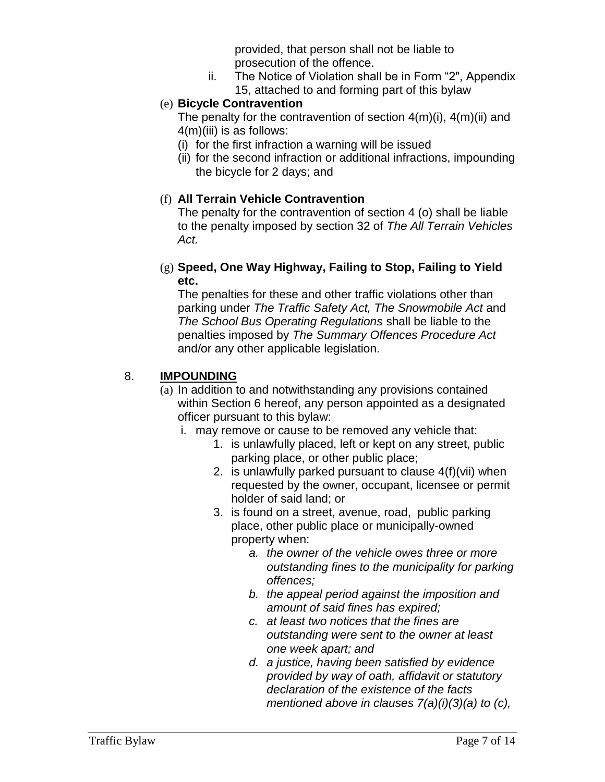provided, that person shall not be liable to prosecution of the offence.

ii. The Notice of Violation shall be in Form "2", Appendix 15, attached to and forming part of this bylaw

## (e) **Bicycle Contravention**

The penalty for the contravention of section 4(m)(i), 4(m)(ii) and 4(m)(iii) is as follows:

- (i) for the first infraction a warning will be issued
- (ii) for the second infraction or additional infractions, impounding the bicycle for 2 days; and

## (f) **All Terrain Vehicle Contravention**

The penalty for the contravention of section 4 (o) shall be liable to the penalty imposed by section 32 of *The All Terrain Vehicles Act.*

#### (g) **Speed, One Way Highway, Failing to Stop, Failing to Yield etc.**

The penalties for these and other traffic violations other than parking under *The Traffic Safety Act, The Snowmobile Act* and *The School Bus Operating Regulations* shall be liable to the penalties imposed by *The Summary Offences Procedure Act* and/or any other applicable legislation.

#### 8. **IMPOUNDING**

- (a) In addition to and notwithstanding any provisions contained within Section 6 hereof, any person appointed as a designated officer pursuant to this bylaw:
	- i. may remove or cause to be removed any vehicle that:
		- 1. is unlawfully placed, left or kept on any street, public parking place, or other public place;
		- 2. is unlawfully parked pursuant to clause 4(f)(vii) when requested by the owner, occupant, licensee or permit holder of said land; or
		- 3. is found on a street, avenue, road, public parking place, other public place or municipally-owned property when:
			- *a. the owner of the vehicle owes three or more outstanding fines to the municipality for parking offences;*
			- *b. the appeal period against the imposition and amount of said fines has expired;*
			- *c. at least two notices that the fines are outstanding were sent to the owner at least one week apart; and*
			- *d. a justice, having been satisfied by evidence provided by way of oath, affidavit or statutory declaration of the existence of the facts mentioned above in clauses 7(a)(i)(3)(a) to (c),*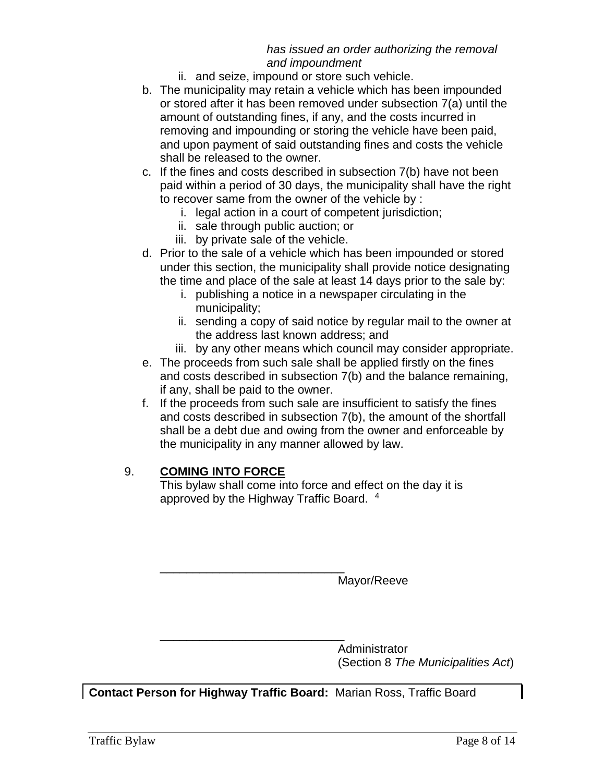#### *has issued an order authorizing the removal and impoundment*

- ii. and seize, impound or store such vehicle.
- b. The municipality may retain a vehicle which has been impounded or stored after it has been removed under subsection 7(a) until the amount of outstanding fines, if any, and the costs incurred in removing and impounding or storing the vehicle have been paid, and upon payment of said outstanding fines and costs the vehicle shall be released to the owner.
- c. If the fines and costs described in subsection 7(b) have not been paid within a period of 30 days, the municipality shall have the right to recover same from the owner of the vehicle by :
	- i. legal action in a court of competent jurisdiction;
	- ii. sale through public auction; or
	- iii. by private sale of the vehicle.
- d. Prior to the sale of a vehicle which has been impounded or stored under this section, the municipality shall provide notice designating the time and place of the sale at least 14 days prior to the sale by:
	- i. publishing a notice in a newspaper circulating in the municipality;
	- ii. sending a copy of said notice by regular mail to the owner at the address last known address; and
	- iii. by any other means which council may consider appropriate.
- e. The proceeds from such sale shall be applied firstly on the fines and costs described in subsection 7(b) and the balance remaining, if any, shall be paid to the owner.
- f. If the proceeds from such sale are insufficient to satisfy the fines and costs described in subsection 7(b), the amount of the shortfall shall be a debt due and owing from the owner and enforceable by the municipality in any manner allowed by law.

#### 9. **COMING INTO FORCE**

This bylaw shall come into force and effect on the day it is approved by the Highway Traffic Board. <sup>4</sup>

Mayor/Reeve

Administrator (Section 8 *The Municipalities Act*)

**Contact Person for Highway Traffic Board:** Marian Ross, Traffic Board

\_\_\_\_\_\_\_\_\_\_\_\_\_\_\_\_\_\_\_\_\_\_\_\_\_\_\_\_

\_\_\_\_\_\_\_\_\_\_\_\_\_\_\_\_\_\_\_\_\_\_\_\_\_\_\_\_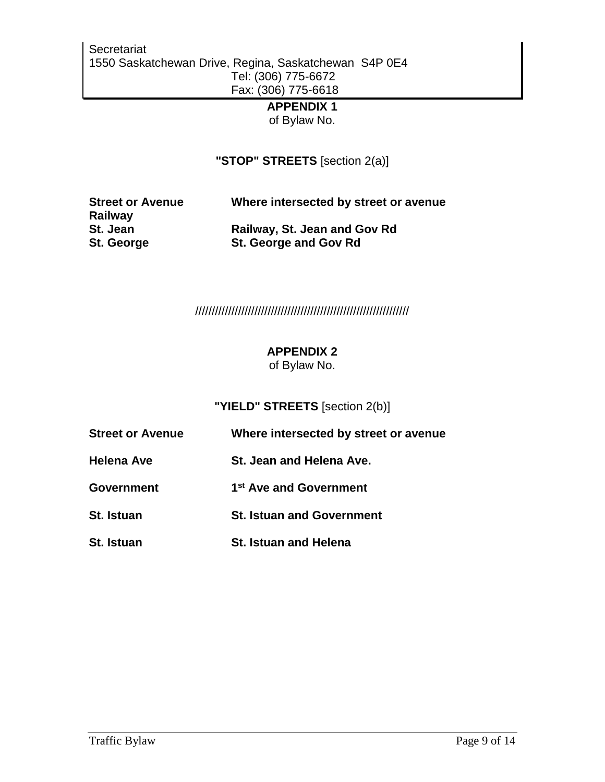# **APPENDIX 1**

of Bylaw No.

**"STOP" STREETS** [section 2(a)]

| <b>Street or Avenue</b> | Where intersected by street or avenue |
|-------------------------|---------------------------------------|
| Railway                 |                                       |
| St. Jean                | Railway, St. Jean and Gov Rd          |
| St. George              | <b>St. George and Gov Rd</b>          |

/////////////////////////////////////////////////////////////////

#### **APPENDIX 2**

of Bylaw No.

**"YIELD" STREETS** [section 2(b)]

| <b>Street or Avenue</b> | Where intersected by street or avenue |
|-------------------------|---------------------------------------|
|-------------------------|---------------------------------------|

**Helena Ave St. Jean and Helena Ave.**

- **Government 1 st Ave and Government**
- **St. Istuan St. Istuan and Government**
- **St. Istuan St. Istuan and Helena**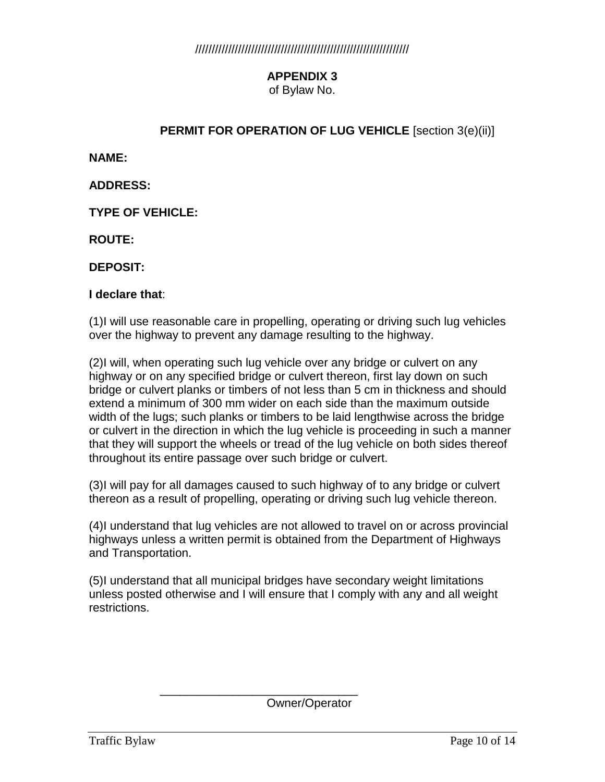# **APPENDIX 3**

of Bylaw No.

#### **PERMIT FOR OPERATION OF LUG VEHICLE** [section 3(e)(ii)]

**NAME:**

**ADDRESS:**

**TYPE OF VEHICLE:**

**ROUTE:**

**DEPOSIT:**

#### **I declare that**:

(1)I will use reasonable care in propelling, operating or driving such lug vehicles over the highway to prevent any damage resulting to the highway.

(2)I will, when operating such lug vehicle over any bridge or culvert on any highway or on any specified bridge or culvert thereon, first lay down on such bridge or culvert planks or timbers of not less than 5 cm in thickness and should extend a minimum of 300 mm wider on each side than the maximum outside width of the lugs; such planks or timbers to be laid lengthwise across the bridge or culvert in the direction in which the lug vehicle is proceeding in such a manner that they will support the wheels or tread of the lug vehicle on both sides thereof throughout its entire passage over such bridge or culvert.

(3)I will pay for all damages caused to such highway of to any bridge or culvert thereon as a result of propelling, operating or driving such lug vehicle thereon.

(4)I understand that lug vehicles are not allowed to travel on or across provincial highways unless a written permit is obtained from the Department of Highways and Transportation.

(5)I understand that all municipal bridges have secondary weight limitations unless posted otherwise and I will ensure that I comply with any and all weight restrictions.

Owner/Operator

\_\_\_\_\_\_\_\_\_\_\_\_\_\_\_\_\_\_\_\_\_\_\_\_\_\_\_\_\_\_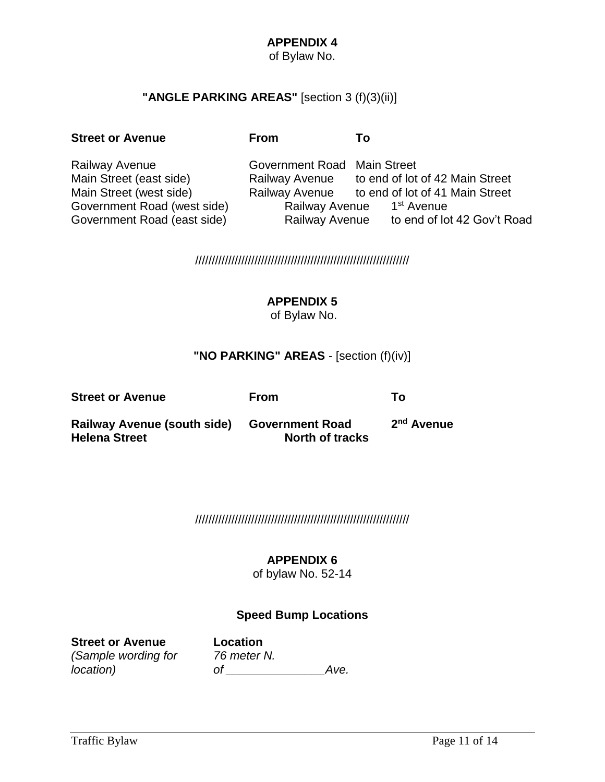#### **APPENDIX 4**

of Bylaw No.

## **"ANGLE PARKING AREAS"** [section 3 (f)(3)(ii)]

#### **Street or Avenue From To**

Government Road (west side)

Railway Avenue **Government Road Main Street** Main Street (east side) Railway Avenue to end of lot of 42 Main Street Main Street (west side) Railway Avenue to end of lot of 41 Main Street Railway Avenue 1<sup>st</sup> Avenue Government Road (east side) Railway Avenue to end of lot 42 Gov't Road

/////////////////////////////////////////////////////////////////

#### **APPENDIX 5**

of Bylaw No.

#### **"NO PARKING" AREAS** - [section (f)(iv)]

**Street or Avenue From To**

**Railway Avenue (south side) Government Road 2 Helena Street North of tracks**

2<sup>nd</sup> Avenue

/////////////////////////////////////////////////////////////////

#### **APPENDIX 6**

of bylaw No. 52-14

#### **Speed Bump Locations**

**Street or Avenue Location** *(Sample wording for 76 meter N.*

*location) of \_\_\_\_\_\_\_\_\_\_\_\_\_\_\_Ave.*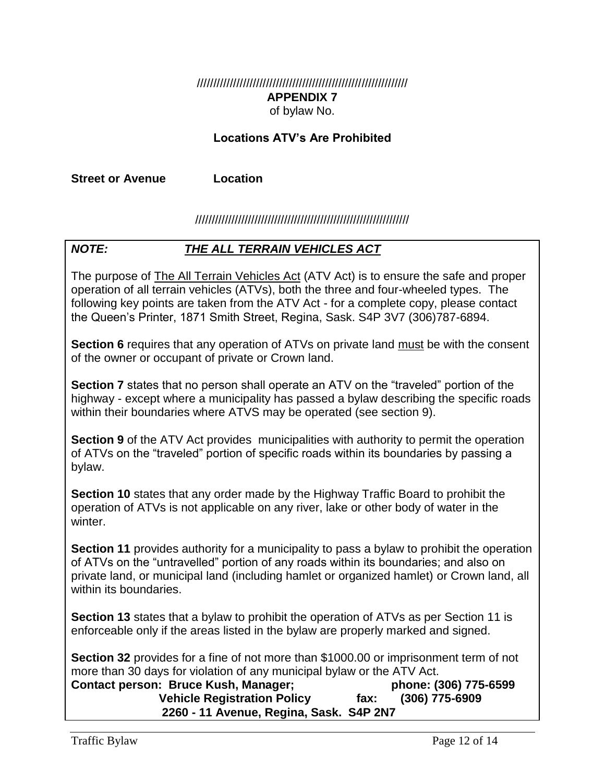## //////////////////////////////////////////////////////////////// **APPENDIX 7** of bylaw No.

#### **Locations ATV's Are Prohibited**

**Street or Avenue Location**

#### /////////////////////////////////////////////////////////////////

#### *NOTE: THE ALL TERRAIN VEHICLES ACT*

The purpose of The All Terrain Vehicles Act (ATV Act) is to ensure the safe and proper operation of all terrain vehicles (ATVs), both the three and four-wheeled types. The following key points are taken from the ATV Act - for a complete copy, please contact the Queen's Printer, 1871 Smith Street, Regina, Sask. S4P 3V7 (306)787-6894.

**Section 6** requires that any operation of ATVs on private land must be with the consent of the owner or occupant of private or Crown land.

**Section 7** states that no person shall operate an ATV on the "traveled" portion of the highway - except where a municipality has passed a bylaw describing the specific roads within their boundaries where ATVS may be operated (see section 9).

**Section 9** of the ATV Act provides municipalities with authority to permit the operation of ATVs on the "traveled" portion of specific roads within its boundaries by passing a bylaw.

**Section 10** states that any order made by the Highway Traffic Board to prohibit the operation of ATVs is not applicable on any river, lake or other body of water in the winter.

**Section 11** provides authority for a municipality to pass a bylaw to prohibit the operation of ATVs on the "untravelled" portion of any roads within its boundaries; and also on private land, or municipal land (including hamlet or organized hamlet) or Crown land, all within its boundaries.

**Section 13** states that a bylaw to prohibit the operation of ATVs as per Section 11 is enforceable only if the areas listed in the bylaw are properly marked and signed.

**Section 32** provides for a fine of not more than \$1000.00 or imprisonment term of not more than 30 days for violation of any municipal bylaw or the ATV Act.

**Contact person: Bruce Kush, Manager; phone: (306) 775-6599 Vehicle Registration Policy Fax: 2260 - 11 Avenue, Regina, Sask. S4P 2N7**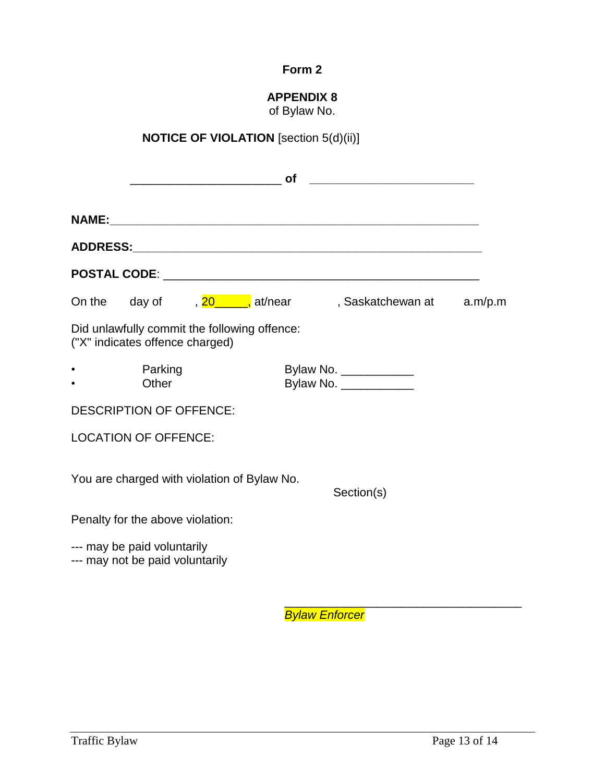## **Form 2**

## **APPENDIX 8** of Bylaw No.

## **NOTICE OF VIOLATION** [section 5(d)(ii)]

| <b>of</b> |                                                                                             |                                                                                                                                  |
|-----------|---------------------------------------------------------------------------------------------|----------------------------------------------------------------------------------------------------------------------------------|
|           |                                                                                             |                                                                                                                                  |
|           |                                                                                             |                                                                                                                                  |
|           |                                                                                             |                                                                                                                                  |
|           |                                                                                             |                                                                                                                                  |
|           |                                                                                             |                                                                                                                                  |
|           |                                                                                             |                                                                                                                                  |
|           |                                                                                             |                                                                                                                                  |
|           |                                                                                             |                                                                                                                                  |
|           | Section(s)                                                                                  |                                                                                                                                  |
|           |                                                                                             |                                                                                                                                  |
|           |                                                                                             |                                                                                                                                  |
|           | Did unlawfully commit the following offence:<br>You are charged with violation of Bylaw No. | On the day of , $20$ , $\frac{120}{100}$ , at/near , Saskatchewan at a.m/p.m<br>Bylaw No. ____________<br>Bylaw No. ____________ |

\_\_\_\_\_\_\_\_\_\_\_\_\_\_\_\_\_\_\_\_\_\_\_\_\_\_\_\_\_\_\_\_\_\_\_\_ *Bylaw Enforcer*